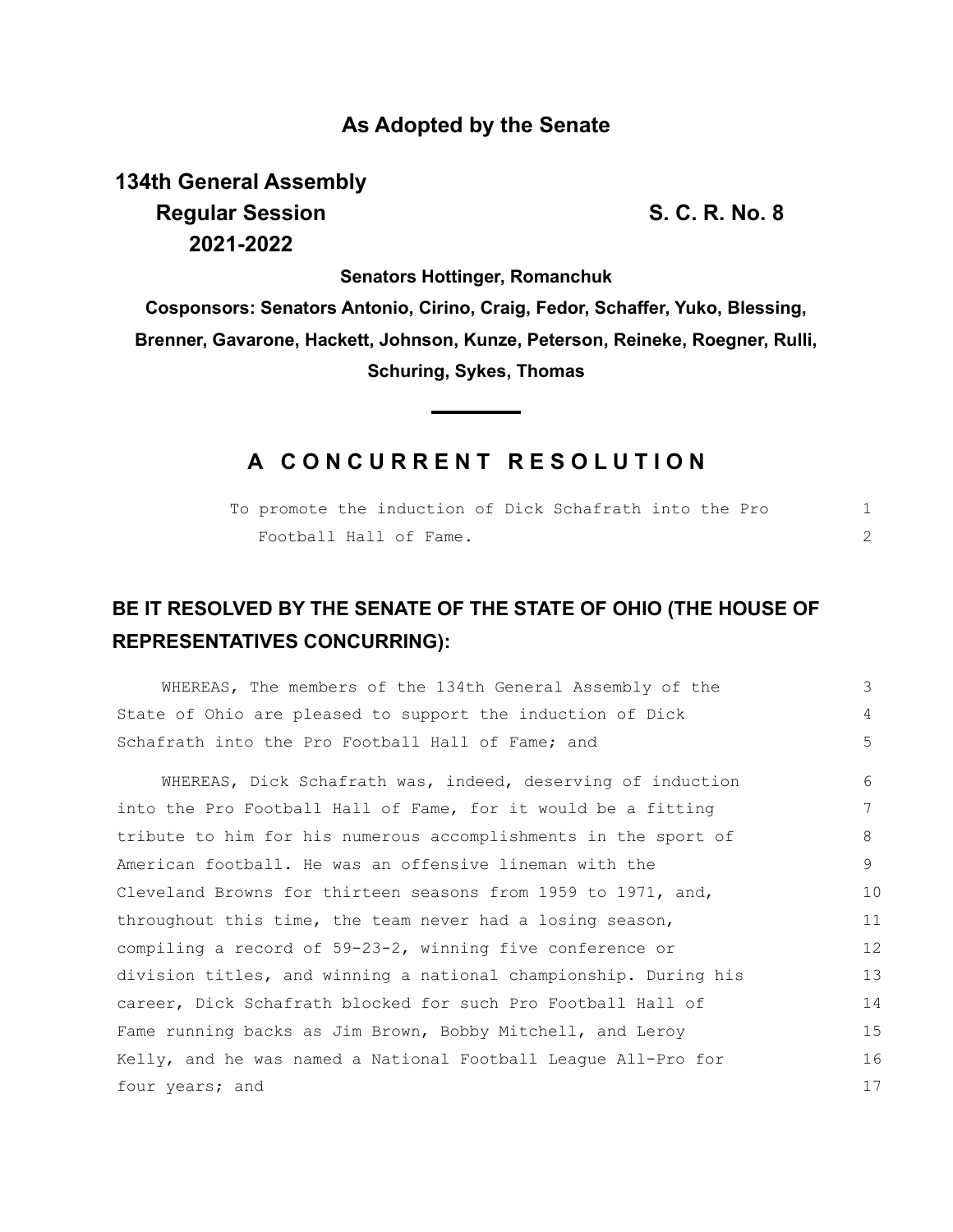## **As Adopted by the Senate**

**134th General Assembly Regular Session S. C. R. No. 8 2021-2022**

**Senators Hottinger, Romanchuk**

**Cosponsors: Senators Antonio, Cirino, Craig, Fedor, Schaffer, Yuko, Blessing, Brenner, Gavarone, Hackett, Johnson, Kunze, Peterson, Reineke, Roegner, Rulli, Schuring, Sykes, Thomas**

## **A C O N C U R R E N T R E S O L U T I O N**

|  |                        |  | To promote the induction of Dick Schafrath into the Pro |  |  |  |
|--|------------------------|--|---------------------------------------------------------|--|--|--|
|  | Football Hall of Fame. |  |                                                         |  |  |  |

## **BE IT RESOLVED BY THE SENATE OF THE STATE OF OHIO (THE HOUSE OF REPRESENTATIVES CONCURRING):**

| WHEREAS, The members of the 134th General Assembly of the        | 3                 |
|------------------------------------------------------------------|-------------------|
| State of Ohio are pleased to support the induction of Dick       | 4                 |
| Schafrath into the Pro Football Hall of Fame; and                | 5                 |
| WHEREAS, Dick Schafrath was, indeed, deserving of induction      | 6                 |
| into the Pro Football Hall of Fame, for it would be a fitting    |                   |
| tribute to him for his numerous accomplishments in the sport of  | 8                 |
| American football. He was an offensive lineman with the          | 9                 |
| Cleveland Browns for thirteen seasons from 1959 to 1971, and,    | 10                |
| throughout this time, the team never had a losing season,        | 11                |
| compiling a record of $59-23-2$ , winning five conference or     | $12 \overline{ }$ |
| division titles, and winning a national championship. During his | 13                |
| career, Dick Schafrath blocked for such Pro Football Hall of     | 14                |
| Fame running backs as Jim Brown, Bobby Mitchell, and Leroy       | 15                |
| Kelly, and he was named a National Football League All-Pro for   | 16                |
| four years; and                                                  | 17                |